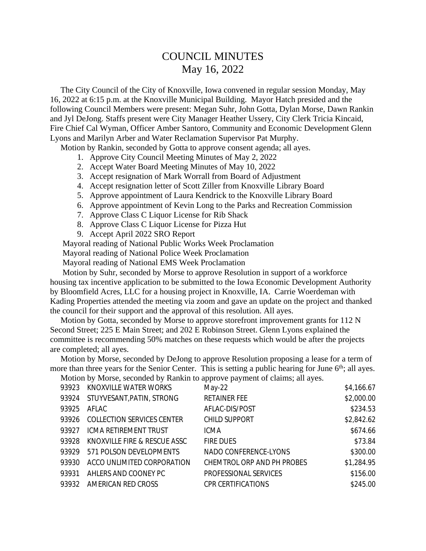## COUNCIL MINUTES May 16, 2022

 The City Council of the City of Knoxville, Iowa convened in regular session Monday, May 16, 2022 at 6:15 p.m. at the Knoxville Municipal Building. Mayor Hatch presided and the following Council Members were present: Megan Suhr, John Gotta, Dylan Morse, Dawn Rankin and Jyl DeJong. Staffs present were City Manager Heather Ussery, City Clerk Tricia Kincaid, Fire Chief Cal Wyman, Officer Amber Santoro, Community and Economic Development Glenn Lyons and Marilyn Arber and Water Reclamation Supervisor Pat Murphy.

Motion by Rankin, seconded by Gotta to approve consent agenda; all ayes.

- 1. Approve City Council Meeting Minutes of May 2, 2022
- 2. Accept Water Board Meeting Minutes of May 10, 2022
- 3. Accept resignation of Mark Worrall from Board of Adjustment
- 4. Accept resignation letter of Scott Ziller from Knoxville Library Board
- 5. Approve appointment of Laura Kendrick to the Knoxville Library Board
- 6. Approve appointment of Kevin Long to the Parks and Recreation Commission
- 7. Approve Class C Liquor License for Rib Shack
- 8. Approve Class C Liquor License for Pizza Hut
- 9. Accept April 2022 SRO Report

Mayoral reading of National Public Works Week Proclamation

Mayoral reading of National Police Week Proclamation

Mayoral reading of National EMS Week Proclamation

 Motion by Suhr, seconded by Morse to approve Resolution in support of a workforce housing tax incentive application to be submitted to the Iowa Economic Development Authority by Bloomfield Acres, LLC for a housing project in Knoxville, IA. Carrie Woerdeman with Kading Properties attended the meeting via zoom and gave an update on the project and thanked the council for their support and the approval of this resolution. All ayes.

 Motion by Gotta, seconded by Morse to approve storefront improvement grants for 112 N Second Street; 225 E Main Street; and 202 E Robinson Street. Glenn Lyons explained the committee is recommending 50% matches on these requests which would be after the projects are completed; all ayes.

 Motion by Morse, seconded by DeJong to approve Resolution proposing a lease for a term of more than three years for the Senior Center. This is setting a public hearing for June  $6<sup>th</sup>$ ; all ayes.

Motion by Morse, seconded by Rankin to approve payment of claims; all ayes.

| 93923 | KNOXVILLE WATER WORKS             | May-22                     | \$4,166.67 |
|-------|-----------------------------------|----------------------------|------------|
| 93924 | STUYVESANT, PATIN, STRONG         | <b>RETAINER FEE</b>        | \$2,000.00 |
| 93925 | AFLAC                             | AFLAC-DIS/POST             | \$234.53   |
| 93926 | <b>COLLECTION SERVICES CENTER</b> | <b>CHILD SUPPORT</b>       | \$2,842.62 |
| 93927 | ICMA RETIREMENT TRUST             | <b>ICMA</b>                | \$674.66   |
| 93928 | KNOXVILLE FIRE & RESCUE ASSC      | <b>FIRE DUES</b>           | \$73.84    |
| 93929 | 571 POLSON DEVELOPMENTS           | NADO CONFERENCE-LYONS      | \$300.00   |
| 93930 | ACCO UNLIMITED CORPORATION        | CHEMTROL ORP AND PH PROBES | \$1,284.95 |
| 93931 | AHLERS AND COONEY PC              | PROFESSIONAL SERVICES      | \$156.00   |
| 93932 | AMERICAN RED CROSS                | <b>CPR CERTIFICATIONS</b>  | \$245.00   |
|       |                                   |                            |            |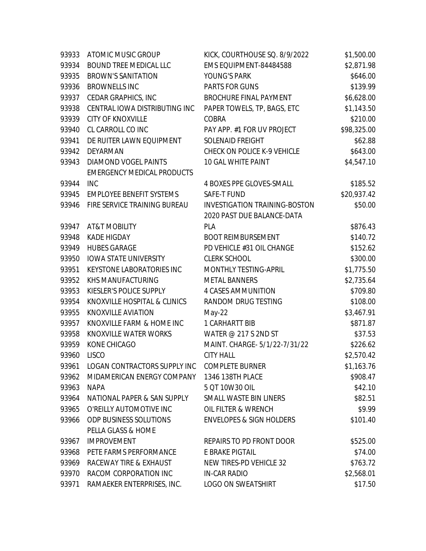| 93933 | ATOMIC MUSIC GROUP                                        | KICK, COURTHOUSE SQ. 8/9/2022        | \$1,500.00  |
|-------|-----------------------------------------------------------|--------------------------------------|-------------|
| 93934 | BOUND TREE MEDICAL LLC                                    | EMS EQUIPMENT-84484588               | \$2,871.98  |
| 93935 | <b>BROWN'S SANITATION</b>                                 | YOUNG'S PARK                         | \$646.00    |
| 93936 | <b>BROWNELLS INC</b>                                      | PARTS FOR GUNS                       | \$139.99    |
| 93937 | CEDAR GRAPHICS, INC                                       | BROCHURE FINAL PAYMENT               | \$6,628.00  |
| 93938 | CENTRAL IOWA DISTRIBUTING INC                             | PAPER TOWELS, TP, BAGS, ETC          | \$1,143.50  |
| 93939 | <b>CITY OF KNOXVILLE</b>                                  | COBRA                                | \$210.00    |
| 93940 | CL CARROLL CO INC                                         | PAY APP. #1 FOR UV PROJECT           | \$98,325.00 |
| 93941 | DE RUITER LAWN EQUIPMENT                                  | SOLENAID FREIGHT                     | \$62.88     |
| 93942 | DEYARMAN                                                  | CHECK ON POLICE K-9 VEHICLE          | \$643.00    |
| 93943 | DIAMOND VOGEL PAINTS<br><b>EMERGENCY MEDICAL PRODUCTS</b> | 10 GAL WHITE PAINT                   | \$4,547.10  |
| 93944 | <b>INC</b>                                                | 4 BOXES PPE GLOVES-SMALL             | \$185.52    |
| 93945 | <b>EMPLOYEE BENEFIT SYSTEMS</b>                           | <b>SAFE-T FUND</b>                   | \$20,937.42 |
| 93946 | FIRE SERVICE TRAINING BUREAU                              | <b>INVESTIGATION TRAINING-BOSTON</b> | \$50.00     |
|       |                                                           | 2020 PAST DUE BALANCE-DATA           |             |
| 93947 | <b>AT&amp;T MOBILITY</b>                                  | PLA                                  | \$876.43    |
| 93948 | <b>KADE HIGDAY</b>                                        | <b>BOOT REIMBURSEMENT</b>            | \$140.72    |
| 93949 | <b>HUBES GARAGE</b>                                       | PD VEHICLE #31 OIL CHANGE            | \$152.62    |
| 93950 | <b>IOWA STATE UNIVERSITY</b>                              | <b>CLERK SCHOOL</b>                  | \$300.00    |
| 93951 | KEYSTONE LABORATORIES INC                                 | MONTHLY TESTING-APRIL                | \$1,775.50  |
| 93952 | KHS MANUFACTURING                                         | <b>METAL BANNERS</b>                 | \$2,735.64  |
| 93953 | KIESLER'S POLICE SUPPLY                                   | 4 CASES AMMUNITION                   | \$709.80    |
| 93954 | KNOXVILLE HOSPITAL & CLINICS                              | RANDOM DRUG TESTING                  | \$108.00    |
| 93955 | <b>KNOXVILLE AVIATION</b>                                 | $May-22$                             | \$3,467.91  |
| 93957 | KNOXVILLE FARM & HOME INC                                 | 1 CARHARTT BIB                       | \$871.87    |
| 93958 | KNOXVILLE WATER WORKS                                     | WATER @ 217 S 2ND ST                 | \$37.53     |
| 93959 | KONE CHICAGO                                              | MAINT. CHARGE-5/1/22-7/31/22         | \$226.62    |
| 93960 | <b>LISCO</b>                                              | <b>CITY HALL</b>                     | \$2,570.42  |
| 93961 | <b>LOGAN CONTRACTORS SUPPLY INC</b>                       | <b>COMPLETE BURNER</b>               | \$1,163.76  |
| 93962 | MIDAMERICAN ENERGY COMPANY                                | 1346 138TH PLACE                     | \$908.47    |
| 93963 | <b>NAPA</b>                                               | 5 QT 10W30 OIL                       | \$42.10     |
| 93964 | NATIONAL PAPER & SAN SUPPLY                               | SMALL WASTE BIN LINERS               | \$82.51     |
| 93965 | O'REILLY AUTOMOTIVE INC                                   | OIL FILTER & WRENCH                  | \$9.99      |
| 93966 | ODP BUSINESS SOLUTIONS<br>PELLA GLASS & HOME              | <b>ENVELOPES &amp; SIGN HOLDERS</b>  | \$101.40    |
| 93967 | <b>IMPROVEMENT</b>                                        | REPAIRS TO PD FRONT DOOR             | \$525.00    |
| 93968 | PETE FARMS PERFORMANCE                                    | E BRAKE PIGTAIL                      | \$74.00     |
| 93969 | RACEWAY TIRE & EXHAUST                                    | NEW TIRES-PD VEHICLE 32              | \$763.72    |
| 93970 | RACOM CORPORATION INC                                     | <b>IN-CAR RADIO</b>                  | \$2,568.01  |
| 93971 | RAMAEKER ENTERPRISES, INC.                                | <b>LOGO ON SWEATSHIRT</b>            | \$17.50     |
|       |                                                           |                                      |             |